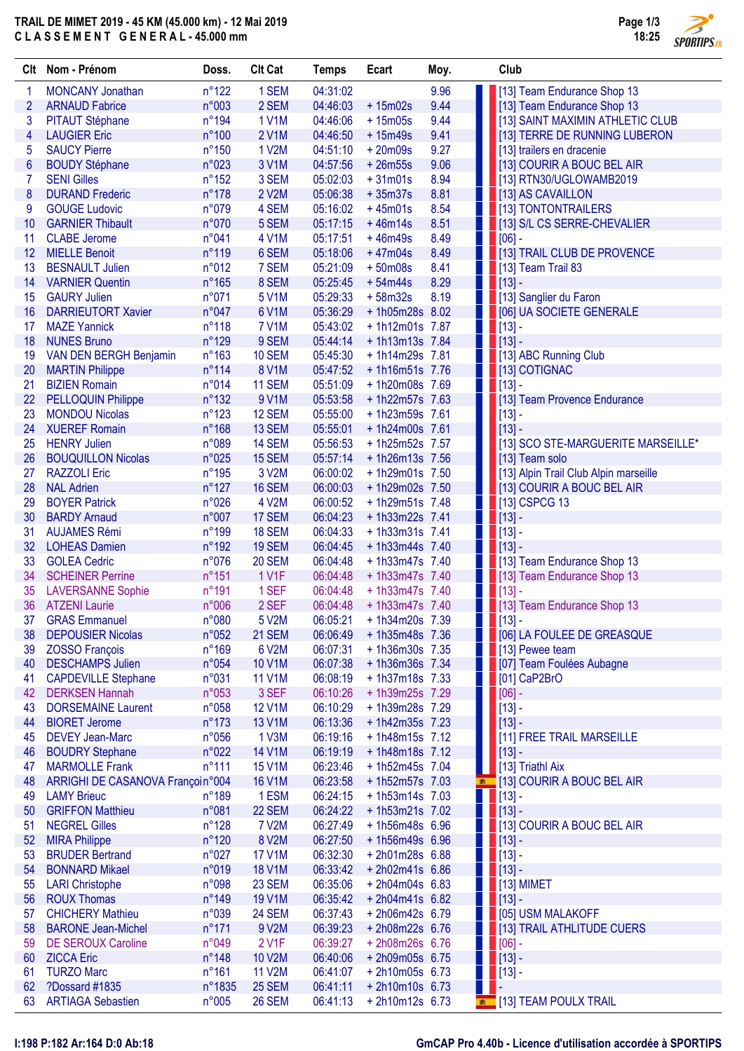## TRAIL DE MIMET 2019 - 45 KM (45.000 km) - 12 Mai 2019 C L A S S E M E N T G E N E R A L - 45.000 mm



 $\overline{\phantom{a}}$ 

|                 | Clt Nom - Prénom                                   | Doss.           | <b>Clt Cat</b>   | <b>Temps</b>         | Ecart                              | Moy. |   | Club                                                                |
|-----------------|----------------------------------------------------|-----------------|------------------|----------------------|------------------------------------|------|---|---------------------------------------------------------------------|
| 1               | <b>MONCANY Jonathan</b>                            | $n^{\circ}122$  | 1 SEM            | 04:31:02             |                                    | 9.96 |   | [13] Team Endurance Shop 13                                         |
| 2               | <b>ARNAUD Fabrice</b>                              | n°003           | 2 SEM            | 04:46:03             | $+15m02s$                          | 9.44 |   | [13] Team Endurance Shop 13                                         |
| 3               | PITAUT Stéphane                                    | n°194           | <b>1 V1M</b>     | 04:46:06             | $+15m05s$                          | 9.44 |   | <b>1   13   13   SAINT MAXIMIN ATHLETIC CLUB</b>                    |
| 4               | <b>LAUGIER Eric</b>                                | $n^{\circ}100$  | 2 V1M            | 04:46:50             | $+15m49s$                          | 9.41 |   | [13] TERRE DE RUNNING LUBERON                                       |
| 5               | <b>SAUCY Pierre</b>                                | $n^{\circ}150$  | 1 V2M            | 04:51:10             | $+20m09s$                          | 9.27 |   | [13] trailers en dracenie                                           |
| $6\,$           | <b>BOUDY Stéphane</b>                              | n°023           | 3 V1M            | 04:57:56             | $+26m55s$                          | 9.06 |   | <b>1 13] COURIR A BOUC BEL AIR</b>                                  |
| 7               | <b>SENI Gilles</b>                                 | $n^{\circ}152$  | 3 SEM            | 05:02:03             | $+31m01s$                          | 8.94 |   | [13] RTN30/UGLOWAMB2019                                             |
| 8               | <b>DURAND Frederic</b>                             | $n^{\circ}178$  | 2 V2M            | 05:06:38             | $+35m37s$                          | 8.81 |   | [13] AS CAVAILLON                                                   |
| 9               | <b>GOUGE Ludovic</b>                               | n°079           | 4 SEM            | 05:16:02             | $+45m01s$                          | 8.54 |   | [13] TONTONTRAILERS                                                 |
| 10              | <b>GARNIER Thibault</b>                            | n°070           | 5 SEM            | 05:17:15             | $+46m14s$                          | 8.51 |   | [13] S/L CS SERRE-CHEVALIER                                         |
| 11              | <b>CLABE</b> Jerome                                | n°041           | 4 V1M            | 05:17:51             | $+46m49s$                          | 8.49 |   | $ 06] -$                                                            |
| 12              | <b>MIELLE Benoit</b>                               | n°119           | 6 SEM            | 05:18:06             | $+47m04s$                          | 8.49 |   | [13] TRAIL CLUB DE PROVENCE                                         |
| 13              | <b>BESNAULT Julien</b>                             | n°012           | 7 SEM            | 05:21:09             | $+50m08s$                          | 8.41 |   | $\blacksquare$ [13] Team Trail 83                                   |
| 14              | <b>VARNIER Quentin</b>                             | $n^{\circ}165$  | 8 SEM            | 05:25:45             | $+54m44s$                          | 8.29 |   |                                                                     |
| 15              | <b>GAURY Julien</b>                                | n°071           | 5 V1M            | 05:29:33             | $+58m32s$                          | 8.19 |   | 13] Sanglier du Faron                                               |
| 16              | <b>DARRIEUTORT Xavier</b>                          | n°047           | 6 V1M            | 05:36:29             | +1h05m28s 8.02                     |      |   | [06] UA SOCIETE GENERALE                                            |
| 17              | <b>MAZE Yannick</b>                                | $n^{\circ}118$  | <b>7 V1M</b>     | 05:43:02             | + 1h12m01s 7.87                    |      |   | $\blacksquare$ [13] -                                               |
| 18              | <b>NUNES Bruno</b>                                 | $n^{\circ}129$  | 9 SEM            | 05:44:14             | $+1h13m13s$ 7.84                   |      |   | $\blacksquare$ $[13]$ -                                             |
| 19              | VAN DEN BERGH Benjamin                             | $n^{\circ}163$  | 10 SEM           | 05:45:30             | $+1h14m29s$ 7.81                   |      |   | [13] ABC Running Club                                               |
| 20              | <b>MARTIN Philippe</b>                             | $n^{\circ}114$  | 8 V1M            | 05:47:52             | $+1h16m51s$ 7.76                   |      |   | <b>1 13 COTIGNAC</b>                                                |
| 21              | <b>BIZIEN Romain</b>                               | n°014           | <b>11 SEM</b>    | 05:51:09             | +1h20m08s 7.69                     |      |   | $\blacksquare$ [13] -                                               |
| 22              | <b>PELLOQUIN Philippe</b><br><b>MONDOU Nicolas</b> | $n^{\circ}132$  | 9 V1M            | 05:53:58             | + 1h22m57s 7.63                    |      |   | <b>1 13</b> Team Provence Endurance                                 |
| 23              |                                                    | $n^{\circ}123$  | 12 SEM           | 05:55:00             | + 1h23m59s 7.61                    |      |   |                                                                     |
| 24              | <b>XUEREF Romain</b><br><b>HENRY Julien</b>        | $n^{\circ}168$  | 13 SEM<br>14 SEM | 05:55:01             | +1h24m00s 7.61                     |      |   |                                                                     |
| 25<br>26        | <b>BOUQUILLON Nicolas</b>                          | n°089<br>n°025  | <b>15 SEM</b>    | 05:56:53<br>05:57:14 | + 1h25m52s 7.57<br>+ 1h26m13s 7.56 |      |   | [13] SCO STE-MARGUERITE MARSEILLE*                                  |
| 27              | <b>RAZZOLI Eric</b>                                | n°195           |                  | 06:00:02             | + 1h29m01s 7.50                    |      |   | [13] Team solo                                                      |
| 28              | <b>NAL Adrien</b>                                  | $n^{\circ}127$  | 3 V2M<br>16 SEM  | 06:00:03             | +1h29m02s 7.50                     |      |   | [13] Alpin Trail Club Alpin marseille<br>[13] COURIR A BOUC BEL AIR |
| 29              | <b>BOYER Patrick</b>                               | n°026           | 4 V2M            | 06:00:52             | +1h29m51s 7.48                     |      |   | [13] CSPCG 13                                                       |
| 30              | <b>BARDY Arnaud</b>                                | n°007           | 17 SEM           | 06:04:23             | $+1h33m22s$ 7.41                   |      |   | $\blacksquare$ [13] -                                               |
| 31              | <b>AUJAMES Rémi</b>                                | n°199           | 18 SEM           | 06:04:33             | $+1h33m31s$ 7.41                   |      |   | $\blacksquare$ [13] -                                               |
| 32              | <b>LOHEAS Damien</b>                               | n°192           | <b>19 SEM</b>    | 06:04:45             | $+1h33m44s$ 7.40                   |      |   | $ 13] -$                                                            |
| 33              | <b>GOLEA Cedric</b>                                | n°076           | <b>20 SEM</b>    | 06:04:48             | $+1h33m47s$ 7.40                   |      |   | [13] Team Endurance Shop 13                                         |
| 34              | <b>SCHEINER Perrine</b>                            | $n^{\circ}151$  | <b>1 V1F</b>     | 06:04:48             | $+1h33m47s$ 7.40                   |      |   | [13] Team Endurance Shop 13                                         |
| 35              | <b>LAVERSANNE Sophie</b>                           | n°191           | 1 SEF            | 06:04:48             | $+1h33m47s$ 7.40                   |      |   | $\blacksquare$ [13] -                                               |
| 36              | <b>ATZENI Laurie</b>                               | n°006           | 2 SEF            | 06:04:48             | $+1h33m47s$ 7.40                   |      |   | 13] Team Endurance Shop 13                                          |
| 37 <sub>2</sub> | <b>GRAS Emmanuel</b>                               | n°080           | 5 V2M            | 06:05:21             | $+1h34m20s$ 7.39                   |      |   | $\blacksquare$ [13]                                                 |
| 38              | <b>DEPOUSIER Nicolas</b>                           | n°052           | 21 SEM           | 06:06:49             | $+1h35m48s$ 7.36                   |      |   | [06] LA FOULEE DE GREASQUE                                          |
| 39              | <b>ZOSSO François</b>                              | $n^{\circ}169$  | 6 V2M            | 06:07:31             | $+1h36m30s$ 7.35                   |      |   | [13] Pewee team                                                     |
| 40              | <b>DESCHAMPS Julien</b>                            | n°054           | 10 V1M           | 06:07:38             | + 1h36m36s 7.34                    |      |   | [07] Team Foulées Aubagne                                           |
| 41              | <b>CAPDEVILLE Stephane</b>                         | n°031           | <b>11 V1M</b>    | 06:08:19             | $+1h37m18s$ 7.33                   |      |   | [01] CaP2BrO                                                        |
| 42              | <b>DERKSEN Hannah</b>                              | n°053           | 3 SEF            | 06:10:26             | +1h39m25s 7.29                     |      |   | $[06] -$                                                            |
| 43              | <b>DORSEMAINE Laurent</b>                          | n°058           | <b>12 V1M</b>    | 06:10:29             | + 1h39m28s 7.29                    |      |   | $ [13]$ -                                                           |
| 44              | <b>BIORET Jerome</b>                               | $n^{\circ}173$  | <b>13 V1M</b>    | 06:13:36             | $+1h42m35s$ 7.23                   |      |   | $[13] -$                                                            |
| 45              | <b>DEVEY Jean-Marc</b>                             | n°056           | 1 V3M            | 06:19:16             | $+1h48m15s$ 7.12                   |      |   | [11] FREE TRAIL MARSEILLE                                           |
| 46              | <b>BOUDRY Stephane</b>                             | n°022           | <b>14 V1M</b>    | 06:19:19             | + 1h48m18s 7.12                    |      |   | $ [13]$ -                                                           |
| 47              | <b>MARMOLLE Frank</b>                              | $n^{\circ}111$  | <b>15 V1M</b>    | 06:23:46             | + 1h52m45s 7.04                    |      |   | [13] Triathl Aix                                                    |
| 48              | ARRIGHI DE CASANOVA Françoi n°004                  |                 | <b>16 V1M</b>    | 06:23:58             | + 1h52m57s 7.03                    |      |   | <b>EXAMPLE 131 COURIR A BOUC BEL AIR</b>                            |
| 49              | <b>LAMY Brieuc</b>                                 | $n^{\circ}189$  | 1 ESM            | 06:24:15             | $+1h53m14s$ 7.03                   |      | ш | $ [13]$ -                                                           |
| 50              | <b>GRIFFON Matthieu</b>                            | n°081           | 22 SEM           | 06:24:22             | + 1h53m21s 7.02                    |      |   | $\blacksquare$ [13] -                                               |
| 51              | <b>NEGREL Gilles</b>                               | $n^{\circ}128$  | <b>7 V2M</b>     | 06:27:49             | + 1h56m48s 6.96                    |      |   | [13] COURIR A BOUC BEL AIR                                          |
| 52              | <b>MIRA Philippe</b>                               | n°120           | 8 V2M            | 06:27:50             | +1h56m49s 6.96                     |      |   | $\blacksquare$ [13] -                                               |
| 53              | <b>BRUDER Bertrand</b>                             | n°027           | <b>17 V1M</b>    | 06:32:30             | +2h01m28s 6.88                     |      |   | $\blacksquare$ [13] -                                               |
| 54              | <b>BONNARD Mikael</b>                              | n°019           | <b>18 V1M</b>    | 06:33:42             | +2h02m41s 6.86                     |      |   | $ [13]$ -                                                           |
| 55              | <b>LARI Christophe</b>                             | n°098           | 23 SEM           | 06:35:06             | $+2h04m04s$ 6.83                   |      |   | $[13]$ MIMET                                                        |
| 56              | <b>ROUX Thomas</b>                                 | n°149           | <b>19 V1M</b>    | 06:35:42             | $+2h04m41s$ 6.82                   |      |   | $ [13]$ -                                                           |
| 57              | <b>CHICHERY Mathieu</b>                            | n°039           | 24 SEM           | 06:37:43             | +2h06m42s 6.79                     |      |   | [05] USM MALAKOFF                                                   |
| 58              | <b>BARONE Jean-Michel</b>                          | $n^{\circ}$ 171 | 9 V2M            | 06:39:23             | +2h08m22s 6.76                     |      |   | [13] TRAIL ATHLITUDE CUERS                                          |
| 59              | <b>DE SEROUX Caroline</b>                          | n°049           | 2 V1F            | 06:39:27             | +2h08m26s 6.76                     |      |   | $ 06] -$                                                            |
| 60              | <b>ZICCA Eric</b>                                  | $n^{\circ}$ 148 | <b>10 V2M</b>    | 06:40:06             | +2h09m05s 6.75                     |      |   | $\blacksquare$ [13] -                                               |
| 61              | <b>TURZO Marc</b>                                  | $n^{\circ}161$  | <b>11 V2M</b>    | 06:41:07             | $+ 2h10m05s$ 6.73                  |      |   | $ [13]$ -                                                           |
| 62              | ?Dossard #1835                                     | n°1835          | 25 SEM           | 06:41:11             | $+ 2h10m10s$ 6.73                  |      |   |                                                                     |
| 63              | <b>ARTIAGA Sebastien</b>                           | n°005           | <b>26 SEM</b>    | 06:41:13             | $+2h10m12s$ 6.73                   |      |   | <b>TRAIL</b> [13] TEAM POULX TRAIL                                  |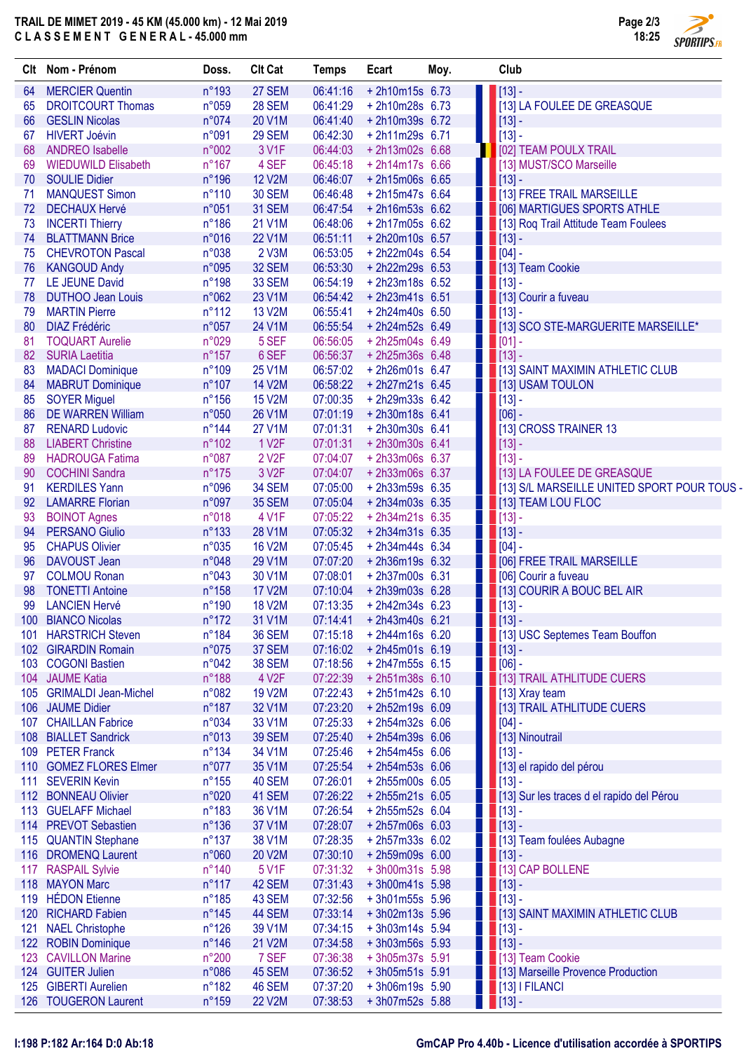## TRAIL DE MIMET 2019 - 45 KM (45.000 km) - 12 Mai 2019 C L A S S E M E N T G E N E R A L - 45.000 mm



つ

|                  | Clt Nom - Prénom            | Doss.           | <b>Clt Cat</b>     | <b>Temps</b> | Ecart             | Moy. | Club                                                                                                                                                                                                                                                                                                                         |                                              |
|------------------|-----------------------------|-----------------|--------------------|--------------|-------------------|------|------------------------------------------------------------------------------------------------------------------------------------------------------------------------------------------------------------------------------------------------------------------------------------------------------------------------------|----------------------------------------------|
| 64               | <b>MERCIER Quentin</b>      | $n^{\circ}$ 193 | 27 SEM             | 06:41:16     | +2h10m15s 6.73    |      | $\blacksquare$ [13] -                                                                                                                                                                                                                                                                                                        |                                              |
| 65               | <b>DROITCOURT Thomas</b>    | n°059           | <b>28 SEM</b>      | 06:41:29     | +2h10m28s 6.73    |      |                                                                                                                                                                                                                                                                                                                              | [13] LA FOULEE DE GREASQUE                   |
| 66               | <b>GESLIN Nicolas</b>       | n°074           | 20 V1M             | 06:41:40     | +2h10m39s 6.72    |      | $\blacksquare$ [13] -                                                                                                                                                                                                                                                                                                        |                                              |
| 67               | <b>HIVERT Joévin</b>        | n°091           | 29 SEM             | 06:42:30     | +2h11m29s 6.71    |      | $        $ [13] -                                                                                                                                                                                                                                                                                                            |                                              |
| 68               | <b>ANDREO</b> Isabelle      | n°002           | 3 V1F              | 06:44:03     | +2h13m02s 6.68    |      |                                                                                                                                                                                                                                                                                                                              | <b>1</b> [02] TEAM POULX TRAIL               |
| 69               | <b>WIEDUWILD Elisabeth</b>  | $n^{\circ}167$  | 4 SEF              | 06:45:18     | $+ 2h14m17s$ 6.66 |      |                                                                                                                                                                                                                                                                                                                              | 1 [13] MUST/SCO Marseille                    |
| 70               | <b>SOULIE Didier</b>        | n°196           | <b>12 V2M</b>      | 06:46:07     | +2h15m06s 6.65    |      | $\blacksquare$ [13] -                                                                                                                                                                                                                                                                                                        |                                              |
| 71               | <b>MANQUEST Simon</b>       | $n^{\circ}110$  | <b>30 SEM</b>      | 06:46:48     | $+2h15m47s$ 6.64  |      |                                                                                                                                                                                                                                                                                                                              | 1 [13] FREE TRAIL MARSEILLE                  |
| 72               | <b>DECHAUX Hervé</b>        | n°051           | 31 SEM             | 06:47:54     | $+ 2h16m53s 6.62$ |      |                                                                                                                                                                                                                                                                                                                              | <b>1   1061 MARTIGUES SPORTS ATHLE</b>       |
| 73               | <b>INCERTI Thierry</b>      | $n^{\circ}186$  | 21 V1M             | 06:48:06     | $+ 2h17m05s$ 6.62 |      |                                                                                                                                                                                                                                                                                                                              | [13] Roq Trail Attitude Team Foulees         |
|                  | <b>BLATTMANN Brice</b>      | n°016           | 22 V1M             | 06:51:11     | +2h20m10s 6.57    |      |                                                                                                                                                                                                                                                                                                                              |                                              |
| 74               |                             | n°038           | 2 V3M              | 06:53:05     | +2h22m04s 6.54    |      | $\blacksquare$ [13] -                                                                                                                                                                                                                                                                                                        |                                              |
| 75               | <b>CHEVROTON Pascal</b>     |                 |                    |              |                   |      | $\blacksquare$ [04] -                                                                                                                                                                                                                                                                                                        |                                              |
| 76               | <b>KANGOUD Andy</b>         | n°095           | 32 SEM             | 06:53:30     | +2h22m29s 6.53    |      |                                                                                                                                                                                                                                                                                                                              | [13] Team Cookie                             |
| 77               | LE JEUNE David              | $n^{\circ}$ 198 | 33 SEM             | 06:54:19     | +2h23m18s 6.52    |      | $\blacksquare$ [13] -                                                                                                                                                                                                                                                                                                        |                                              |
| 78               | <b>DUTHOO Jean Louis</b>    | n°062           | 23 V1M             | 06:54:42     | +2h23m41s 6.51    |      |                                                                                                                                                                                                                                                                                                                              | <b>1 [13] Courir a fuveau</b>                |
| 79               | <b>MARTIN Pierre</b>        | $n^{\circ}112$  | 13 V2M             | 06:55:41     | $+ 2h24m40s$ 6.50 |      | $\blacksquare$ [13] -                                                                                                                                                                                                                                                                                                        |                                              |
| 80               | <b>DIAZ Frédéric</b>        | n°057           | 24 V1M             | 06:55:54     | +2h24m52s 6.49    |      |                                                                                                                                                                                                                                                                                                                              | <b>THE 131 SCO STE-MARGUERITE MARSEILLE*</b> |
| 81               | <b>TOQUART Aurelie</b>      | n°029           | 5 SEF              | 06:56:05     | +2h25m04s 6.49    |      |                                                                                                                                                                                                                                                                                                                              |                                              |
| 82               | <b>SURIA Laetitia</b>       | $n^{\circ}157$  | 6 SEF              | 06:56:37     | +2h25m36s 6.48    |      | $\blacksquare$ [13] -                                                                                                                                                                                                                                                                                                        |                                              |
| 83               | <b>MADACI Dominique</b>     | $n^{\circ}109$  | 25 V1M             | 06:57:02     | +2h26m01s 6.47    |      |                                                                                                                                                                                                                                                                                                                              | [13] SAINT MAXIMIN ATHLETIC CLUB             |
| 84               | <b>MABRUT Dominique</b>     | $n^{\circ}107$  | 14 V2M             | 06:58:22     | $+ 2h27m21s$ 6.45 |      |                                                                                                                                                                                                                                                                                                                              | <b>1 [13] USAM TOULON</b>                    |
| 85               | <b>SOYER Miguel</b>         | $n^{\circ}156$  | <b>15 V2M</b>      | 07:00:35     | + 2h29m33s 6.42   |      | $\blacksquare$ [13] -                                                                                                                                                                                                                                                                                                        |                                              |
| 86               | <b>DE WARREN William</b>    | n°050           | 26 V1M             | 07:01:19     | +2h30m18s 6.41    |      | $ 06] -$                                                                                                                                                                                                                                                                                                                     |                                              |
| 87               | <b>RENARD Ludovic</b>       | $n^{\circ}$ 144 | 27 V1M             | 07:01:31     | +2h30m30s 6.41    |      |                                                                                                                                                                                                                                                                                                                              | [13] CROSS TRAINER 13                        |
| 88               | <b>LIABERT Christine</b>    | $n^{\circ}102$  | 1 V <sub>2</sub> F | 07:01:31     | +2h30m30s 6.41    |      | $    $ [13] -                                                                                                                                                                                                                                                                                                                |                                              |
| 89               | <b>HADROUGA Fatima</b>      | n°087           | 2 V <sub>2</sub> F | 07:04:07     | +2h33m06s 6.37    |      | $\blacksquare$ [13] -                                                                                                                                                                                                                                                                                                        |                                              |
| 90               | <b>COCHINI Sandra</b>       | $n^{\circ}175$  | 3 V <sub>2</sub> F | 07:04:07     | +2h33m06s 6.37    |      |                                                                                                                                                                                                                                                                                                                              | 13] LA FOULEE DE GREASQUE                    |
| 91               | <b>KERDILES Yann</b>        | n°096           | 34 SEM             | 07:05:00     | +2h33m59s 6.35    |      |                                                                                                                                                                                                                                                                                                                              | [13] S/L MARSEILLE UNITED SPORT POUR TOUS -  |
| 92               | <b>LAMARRE Florian</b>      | n°097           | 35 SEM             | 07:05:04     | $+ 2h34m03s$ 6.35 |      |                                                                                                                                                                                                                                                                                                                              | [13] TEAM LOU FLOC                           |
| 93               | <b>BOINOT Agnes</b>         | n°018           | 4 V1F              | 07:05:22     | +2h34m21s 6.35    |      | $\blacksquare$ [13] -                                                                                                                                                                                                                                                                                                        |                                              |
| 94               | <b>PERSANO Giulio</b>       | $n^{\circ}133$  | 28 V1M             | 07:05:32     | $+ 2h34m31s$ 6.35 |      | $\blacksquare$ [13] -                                                                                                                                                                                                                                                                                                        |                                              |
| 95               | <b>CHAPUS Olivier</b>       | n°035           | <b>16 V2M</b>      | 07:05:45     | $+ 2h34m44s$ 6.34 |      | $\begin{bmatrix} 1 & 0 & 0 & 0 \\ 0 & 0 & 0 & 0 \\ 0 & 0 & 0 & 0 \\ 0 & 0 & 0 & 0 \\ 0 & 0 & 0 & 0 \\ 0 & 0 & 0 & 0 \\ 0 & 0 & 0 & 0 \\ 0 & 0 & 0 & 0 & 0 \\ 0 & 0 & 0 & 0 & 0 \\ 0 & 0 & 0 & 0 & 0 \\ 0 & 0 & 0 & 0 & 0 \\ 0 & 0 & 0 & 0 & 0 & 0 \\ 0 & 0 & 0 & 0 & 0 & 0 \\ 0 & 0 & 0 & 0 & 0 & 0 \\ 0 & 0 & 0 & 0 & 0 & $ |                                              |
| 96               | DAVOUST Jean                | n°048           | 29 V1M             | 07:07:20     | +2h36m19s 6.32    |      |                                                                                                                                                                                                                                                                                                                              | <b>THE 1061 FREE TRAIL MARSEILLE</b>         |
|                  |                             |                 |                    |              | +2h37m00s 6.31    |      |                                                                                                                                                                                                                                                                                                                              |                                              |
| 97               | <b>COLMOU Ronan</b>         | n°043           | 30 V1M             | 07:08:01     |                   |      |                                                                                                                                                                                                                                                                                                                              | <b>1   1061 Courir a fuveau</b>              |
| 98               | <b>TONETTI Antoine</b>      | n°158           | <b>17 V2M</b>      | 07:10:04     | +2h39m03s 6.28    |      |                                                                                                                                                                                                                                                                                                                              | 13] COURIR A BOUC BEL AIR                    |
| 99               | <b>LANCIEN Hervé</b>        | n°190           | <b>18 V2M</b>      | 07:13:35     | $+ 2h42m34s$ 6.23 |      | $\blacksquare$ [13] -                                                                                                                                                                                                                                                                                                        |                                              |
| 100              | <b>BIANCO Nicolas</b>       | $n^{\circ}172$  | 31 V1M             | 07:14:41     | +2h43m40s 6.21    |      | $\blacksquare$ [13] -                                                                                                                                                                                                                                                                                                        |                                              |
| 101              | <b>HARSTRICH Steven</b>     | n°184           | <b>36 SEM</b>      | 07:15:18     | +2h44m16s 6.20    |      |                                                                                                                                                                                                                                                                                                                              | [13] USC Septemes Team Bouffon               |
|                  | 102 GIRARDIN Romain         | n°075           | 37 SEM             | 07:16:02     | $+ 2h45m01s$ 6.19 |      | $\blacksquare$ [13] -                                                                                                                                                                                                                                                                                                        |                                              |
| 103 <sub>1</sub> | <b>COGONI Bastien</b>       | n°042           | <b>38 SEM</b>      | 07:18:56     | $+ 2h47m55s$ 6.15 |      | $ 06] -$                                                                                                                                                                                                                                                                                                                     |                                              |
|                  | 104 JAUME Katia             | n°188           | 4 V <sub>2</sub> F | 07:22:39     | $+2h51m38s$ 6.10  |      |                                                                                                                                                                                                                                                                                                                              | 13] TRAIL ATHLITUDE CUERS                    |
| 105              | <b>GRIMALDI Jean-Michel</b> | n°082           | 19 V2M             | 07:22:43     | $+2h51m42s$ 6.10  |      |                                                                                                                                                                                                                                                                                                                              | $\blacksquare$ [13] Xray team                |
| 106 <sup>°</sup> | <b>JAUME Didier</b>         | $n^{\circ}187$  | 32 V1M             | 07:23:20     | +2h52m19s 6.09    |      |                                                                                                                                                                                                                                                                                                                              | [13] TRAIL ATHLITUDE CUERS                   |
| 107              | <b>CHAILLAN Fabrice</b>     | n°034           | 33 V1M             | 07:25:33     | $+2h54m32s$ 6.06  |      | $\blacksquare$ [04] -                                                                                                                                                                                                                                                                                                        |                                              |
| 108              | <b>BIALLET Sandrick</b>     | n°013           | <b>39 SEM</b>      | 07:25:40     | + 2h54m39s 6.06   |      |                                                                                                                                                                                                                                                                                                                              | [13] Ninoutrail                              |
| 109              | <b>PETER Franck</b>         | $n^{\circ}134$  | 34 V1M             | 07:25:46     | $+2h54m45s$ 6.06  |      |                                                                                                                                                                                                                                                                                                                              |                                              |
| 110 <sup>°</sup> | <b>GOMEZ FLORES Elmer</b>   | n°077           | 35 V1M             | 07:25:54     | + 2h54m53s 6.06   |      |                                                                                                                                                                                                                                                                                                                              | [13] el rapido del pérou                     |
| 111              | <b>SEVERIN Kevin</b>        | $n^{\circ}155$  | 40 SEM             | 07:26:01     | +2h55m00s 6.05    |      | $\blacksquare$ [13] -                                                                                                                                                                                                                                                                                                        |                                              |
|                  | 112 BONNEAU Olivier         | n°020           | 41 SEM             | 07:26:22     | $+2h55m21s$ 6.05  |      |                                                                                                                                                                                                                                                                                                                              | [13] Sur les traces d el rapido del Pérou    |
| 113              | <b>GUELAFF Michael</b>      | $n^{\circ}183$  | 36 V1M             | 07:26:54     | +2h55m52s 6.04    |      | $\blacksquare$ [13] -                                                                                                                                                                                                                                                                                                        |                                              |
|                  | 114 PREVOT Sebastien        | $n^{\circ}136$  | 37 V1M             | 07:28:07     | +2h57m06s 6.03    |      | $\blacksquare$ [13] -                                                                                                                                                                                                                                                                                                        |                                              |
| 115              | <b>QUANTIN Stephane</b>     | $n^{\circ}137$  | 38 V1M             | 07:28:35     | + 2h57m33s 6.02   |      |                                                                                                                                                                                                                                                                                                                              | [13] Team foulées Aubagne                    |
|                  | 116 DROMENQ Laurent         | n°060           | 20 V2M             | 07:30:10     | +2h59m09s 6.00    |      | $\blacksquare$ [13] -                                                                                                                                                                                                                                                                                                        |                                              |
| 117              | <b>RASPAIL Sylvie</b>       | $n^{\circ}$ 140 | 5 V1F              | 07:31:32     | +3h00m31s 5.98    |      |                                                                                                                                                                                                                                                                                                                              | <b>1 [13] CAP BOLLENE</b>                    |
|                  | 118 MAYON Marc              | $n^{\circ}117$  | 42 SEM             | 07:31:43     | +3h00m41s 5.98    |      |                                                                                                                                                                                                                                                                                                                              |                                              |
| 119              | <b>HÉDON</b> Etienne        | $n^{\circ}185$  | 43 SEM             | 07:32:56     | $+3h01m55s$ 5.96  |      |                                                                                                                                                                                                                                                                                                                              |                                              |
|                  |                             |                 |                    |              |                   |      | $\blacksquare$ [13] -                                                                                                                                                                                                                                                                                                        |                                              |
| 120              | <b>RICHARD Fabien</b>       | $n^{\circ}145$  | 44 SEM             | 07:33:14     | +3h02m13s 5.96    |      |                                                                                                                                                                                                                                                                                                                              | [13] SAINT MAXIMIN ATHLETIC CLUB             |
| 121              | <b>NAEL Christophe</b>      | $n^{\circ}126$  | 39 V1M             | 07:34:15     | $+3h03m14s$ 5.94  |      |                                                                                                                                                                                                                                                                                                                              |                                              |
|                  | 122 ROBIN Dominique         | $n^{\circ}$ 146 | 21 V2M             | 07:34:58     | $+3h03m56s$ 5.93  |      | $\blacksquare$ [13] -                                                                                                                                                                                                                                                                                                        |                                              |
| 123              | <b>CAVILLON Marine</b>      | n°200           | 7 SEF              | 07:36:38     | +3h05m37s 5.91    |      |                                                                                                                                                                                                                                                                                                                              |                                              |
|                  | 124 GUITER Julien           | n°086           | 45 SEM             | 07:36:52     | $+3h05m51s$ 5.91  |      |                                                                                                                                                                                                                                                                                                                              | [13] Marseille Provence Production           |
| 125              | <b>GIBERTI Aurelien</b>     | $n^{\circ}182$  | 46 SEM             | 07:37:20     | +3h06m19s 5.90    |      |                                                                                                                                                                                                                                                                                                                              | <b>TEST 13   FILANCI</b>                     |
|                  | 126 TOUGERON Laurent        | $n^{\circ}159$  | 22 V2M             | 07:38:53     | $+3h07m52s$ 5.88  |      | $\blacksquare$ [13] -                                                                                                                                                                                                                                                                                                        |                                              |